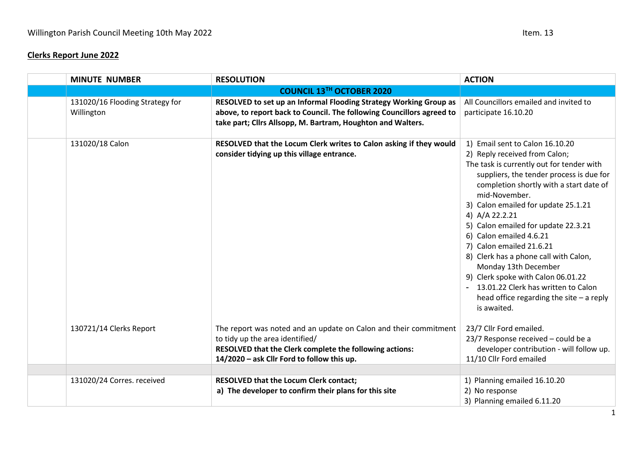## **Clerks Report June 2022**

| <b>MINUTE NUMBER</b>                          | <b>RESOLUTION</b>                                                                                                                                                                                            | <b>ACTION</b>                                                                                                                                                                                                                                                                                                                                                                                                                                                                                                                                                                             |
|-----------------------------------------------|--------------------------------------------------------------------------------------------------------------------------------------------------------------------------------------------------------------|-------------------------------------------------------------------------------------------------------------------------------------------------------------------------------------------------------------------------------------------------------------------------------------------------------------------------------------------------------------------------------------------------------------------------------------------------------------------------------------------------------------------------------------------------------------------------------------------|
|                                               |                                                                                                                                                                                                              |                                                                                                                                                                                                                                                                                                                                                                                                                                                                                                                                                                                           |
| 131020/16 Flooding Strategy for<br>Willington | RESOLVED to set up an Informal Flooding Strategy Working Group as<br>above, to report back to Council. The following Councillors agreed to<br>take part; Cllrs Allsopp, M. Bartram, Houghton and Walters.    | All Councillors emailed and invited to<br>participate 16.10.20                                                                                                                                                                                                                                                                                                                                                                                                                                                                                                                            |
| 131020/18 Calon                               | RESOLVED that the Locum Clerk writes to Calon asking if they would<br>consider tidying up this village entrance.                                                                                             | 1) Email sent to Calon 16.10.20<br>2) Reply received from Calon;<br>The task is currently out for tender with<br>suppliers, the tender process is due for<br>completion shortly with a start date of<br>mid-November.<br>3) Calon emailed for update 25.1.21<br>4) A/A 22.2.21<br>5) Calon emailed for update 22.3.21<br>6) Calon emailed 4.6.21<br>7) Calon emailed 21.6.21<br>8) Clerk has a phone call with Calon,<br>Monday 13th December<br>9) Clerk spoke with Calon 06.01.22<br>- 13.01.22 Clerk has written to Calon<br>head office regarding the site $-$ a reply<br>is awaited. |
| 130721/14 Clerks Report                       | The report was noted and an update on Calon and their commitment<br>to tidy up the area identified/<br>RESOLVED that the Clerk complete the following actions:<br>14/2020 - ask Cllr Ford to follow this up. | 23/7 Cllr Ford emailed.<br>23/7 Response received - could be a<br>developer contribution - will follow up.<br>11/10 Cllr Ford emailed                                                                                                                                                                                                                                                                                                                                                                                                                                                     |
|                                               |                                                                                                                                                                                                              |                                                                                                                                                                                                                                                                                                                                                                                                                                                                                                                                                                                           |
| 131020/24 Corres. received                    | <b>RESOLVED that the Locum Clerk contact;</b><br>a) The developer to confirm their plans for this site                                                                                                       | 1) Planning emailed 16.10.20<br>2) No response<br>3) Planning emailed 6.11.20                                                                                                                                                                                                                                                                                                                                                                                                                                                                                                             |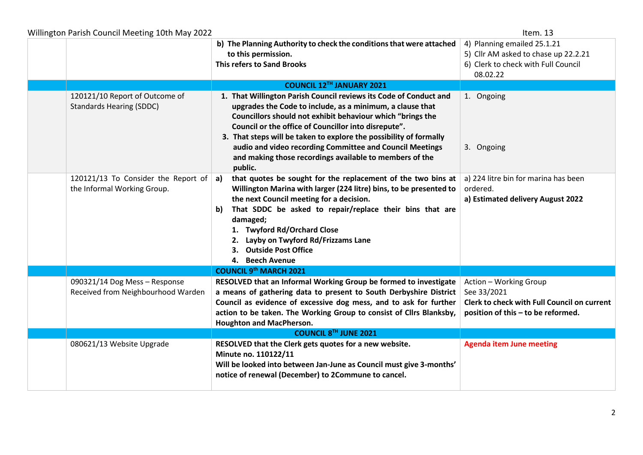| Willington Parish Council Meeting 10th May 2022                     | Item. 13                                                                                                                                                                                                                                                                                                                                                                                                                                                     |                                                                                                                            |
|---------------------------------------------------------------------|--------------------------------------------------------------------------------------------------------------------------------------------------------------------------------------------------------------------------------------------------------------------------------------------------------------------------------------------------------------------------------------------------------------------------------------------------------------|----------------------------------------------------------------------------------------------------------------------------|
|                                                                     | b) The Planning Authority to check the conditions that were attached<br>to this permission.<br><b>This refers to Sand Brooks</b>                                                                                                                                                                                                                                                                                                                             | 4) Planning emailed 25.1.21<br>5) Cllr AM asked to chase up 22.2.21<br>6) Clerk to check with Full Council<br>08.02.22     |
|                                                                     | <b>COUNCIL 12TH JANUARY 2021</b>                                                                                                                                                                                                                                                                                                                                                                                                                             |                                                                                                                            |
| 120121/10 Report of Outcome of<br><b>Standards Hearing (SDDC)</b>   | 1. That Willington Parish Council reviews its Code of Conduct and<br>upgrades the Code to include, as a minimum, a clause that<br>Councillors should not exhibit behaviour which "brings the<br>Council or the office of Councillor into disrepute".<br>3. That steps will be taken to explore the possibility of formally<br>audio and video recording Committee and Council Meetings<br>and making those recordings available to members of the<br>public. | 1. Ongoing<br>3. Ongoing                                                                                                   |
| 120121/13 To Consider the Report of<br>the Informal Working Group.  | that quotes be sought for the replacement of the two bins at<br>a)<br>Willington Marina with larger (224 litre) bins, to be presented to<br>the next Council meeting for a decision.<br>That SDDC be asked to repair/replace their bins that are<br>b)<br>damaged;<br>1. Twyford Rd/Orchard Close<br>Layby on Twyford Rd/Frizzams Lane<br>2.<br><b>Outside Post Office</b><br>3.<br>4. Beech Avenue                                                          | a) 224 litre bin for marina has been<br>ordered.<br>a) Estimated delivery August 2022                                      |
|                                                                     | <b>COUNCIL 9th MARCH 2021</b>                                                                                                                                                                                                                                                                                                                                                                                                                                |                                                                                                                            |
| 090321/14 Dog Mess - Response<br>Received from Neighbourhood Warden | RESOLVED that an Informal Working Group be formed to investigate<br>a means of gathering data to present to South Derbyshire District<br>Council as evidence of excessive dog mess, and to ask for further<br>action to be taken. The Working Group to consist of Cllrs Blanksby,<br><b>Houghton and MacPherson.</b>                                                                                                                                         | Action - Working Group<br>See 33/2021<br>Clerk to check with Full Council on current<br>position of this - to be reformed. |
|                                                                     | COUNCIL 8TH JUNE 2021                                                                                                                                                                                                                                                                                                                                                                                                                                        |                                                                                                                            |
| 080621/13 Website Upgrade                                           | RESOLVED that the Clerk gets quotes for a new website.<br>Minute no. 110122/11<br>Will be looked into between Jan-June as Council must give 3-months'<br>notice of renewal (December) to 2Commune to cancel.                                                                                                                                                                                                                                                 | <b>Agenda item June meeting</b>                                                                                            |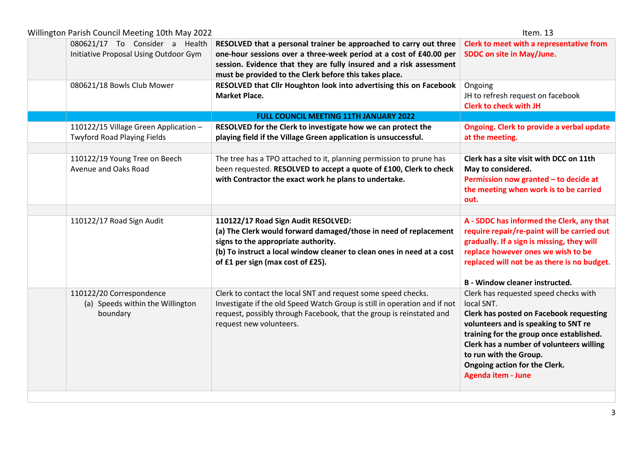| Willington Parish Council Meeting 10th May 2022 |                                                                                                                                                                                                                                                                                                                                                                                                                                                                                                                                                                                                                                                                                                                                                                                                                                                                                                                                                                                                                                                                                                                                                                                                                                   |  |  |
|-------------------------------------------------|-----------------------------------------------------------------------------------------------------------------------------------------------------------------------------------------------------------------------------------------------------------------------------------------------------------------------------------------------------------------------------------------------------------------------------------------------------------------------------------------------------------------------------------------------------------------------------------------------------------------------------------------------------------------------------------------------------------------------------------------------------------------------------------------------------------------------------------------------------------------------------------------------------------------------------------------------------------------------------------------------------------------------------------------------------------------------------------------------------------------------------------------------------------------------------------------------------------------------------------|--|--|
|                                                 | Clerk to meet with a representative from<br>SDDC on site in May/June.                                                                                                                                                                                                                                                                                                                                                                                                                                                                                                                                                                                                                                                                                                                                                                                                                                                                                                                                                                                                                                                                                                                                                             |  |  |
|                                                 | Ongoing<br>JH to refresh request on facebook<br><b>Clerk to check with JH</b>                                                                                                                                                                                                                                                                                                                                                                                                                                                                                                                                                                                                                                                                                                                                                                                                                                                                                                                                                                                                                                                                                                                                                     |  |  |
| <b>FULL COUNCIL MEETING 11TH JANUARY 2022</b>   |                                                                                                                                                                                                                                                                                                                                                                                                                                                                                                                                                                                                                                                                                                                                                                                                                                                                                                                                                                                                                                                                                                                                                                                                                                   |  |  |
|                                                 | Ongoing. Clerk to provide a verbal update<br>at the meeting.                                                                                                                                                                                                                                                                                                                                                                                                                                                                                                                                                                                                                                                                                                                                                                                                                                                                                                                                                                                                                                                                                                                                                                      |  |  |
|                                                 | Clerk has a site visit with DCC on 11th<br>May to considered.<br>Permission now granted - to decide at<br>the meeting when work is to be carried<br>out.                                                                                                                                                                                                                                                                                                                                                                                                                                                                                                                                                                                                                                                                                                                                                                                                                                                                                                                                                                                                                                                                          |  |  |
|                                                 | A - SDDC has informed the Clerk, any that<br>require repair/re-paint will be carried out<br>gradually. If a sign is missing, they will<br>replace however ones we wish to be<br>replaced will not be as there is no budget.<br><b>B</b> - Window cleaner instructed.                                                                                                                                                                                                                                                                                                                                                                                                                                                                                                                                                                                                                                                                                                                                                                                                                                                                                                                                                              |  |  |
|                                                 | Clerk has requested speed checks with<br>local SNT.<br><b>Clerk has posted on Facebook requesting</b><br>volunteers and is speaking to SNT re<br>training for the group once established.<br>Clerk has a number of volunteers willing<br>to run with the Group.<br>Ongoing action for the Clerk.<br>Agenda item - June                                                                                                                                                                                                                                                                                                                                                                                                                                                                                                                                                                                                                                                                                                                                                                                                                                                                                                            |  |  |
|                                                 | RESOLVED that a personal trainer be approached to carry out three<br>one-hour sessions over a three-week period at a cost of £40.00 per<br>session. Evidence that they are fully insured and a risk assessment<br>must be provided to the Clerk before this takes place.<br>RESOLVED that Cllr Houghton look into advertising this on Facebook<br><b>Market Place.</b><br>RESOLVED for the Clerk to investigate how we can protect the<br>playing field if the Village Green application is unsuccessful.<br>The tree has a TPO attached to it, planning permission to prune has<br>been requested. RESOLVED to accept a quote of £100, Clerk to check<br>with Contractor the exact work he plans to undertake.<br>110122/17 Road Sign Audit RESOLVED:<br>(a) The Clerk would forward damaged/those in need of replacement<br>signs to the appropriate authority.<br>(b) To instruct a local window cleaner to clean ones in need at a cost<br>of £1 per sign (max cost of £25).<br>Clerk to contact the local SNT and request some speed checks.<br>Investigate if the old Speed Watch Group is still in operation and if not<br>request, possibly through Facebook, that the group is reinstated and<br>request new volunteers. |  |  |